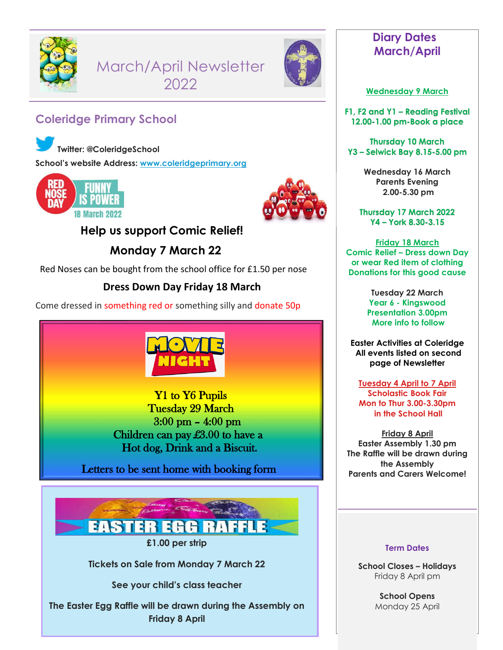

March/April Newsletter 2022



# **Coleridge Primary School**

**Twitter: @ColeridgeSchool School's website Address: [www.coleridgeprimary.org](http://www.coleridgeprimary.org/)**





## **Help us support Comic Relief!**

 **Monday 7 March 22**

Red Noses can be bought from the school office for £1.50 per nose

## **Dress Down Day Friday 18 March**

Come dressed in something red or something silly and donate 50p



Y1 to Y6 Pupils Tuesday 29 March 3:00 pm – 4:00 pm Children can pay £3.00 to have a Hot dog, Drink and a Biscuit.

Letters to be sent home with booking form



**£1.00 per strip**

**Tickets on Sale from Monday 7 March 22**

**See your child's class teacher**

**The Easter Egg Raffle will be drawn during the Assembly on Friday 8 April**

## **Diary Dates March/April**

### **Wednesday 9 March**

**F1, F2 and Y1 – Reading Festival 12.00-1.00 pm-Book a place** 

**Thursday 10 March Y3 – Selwick Bay 8.15-5.00 pm**

> **Wednesday 16 March Parents Evening 2.00-5.30 pm**

**Thursday 17 March 2022 Y4 – York 8.30-3.15**

**Friday 18 March Comic Relief – Dress down Day or wear Red item of clothing Donations for this good cause**

> **Tuesday 22 March Year 6 - Kingswood Presentation 3.00pm More info to follow**

**Easter Activities at Coleridge All events listed on second page of Newsletter**

**Tuesday 4 April to 7 April Scholastic Book Fair Mon to Thur 3.00-3.30pm in the School Hall**

**Friday 8 April Easter Assembly 1.30 pm The Raffle will be drawn during the Assembly Parents and Carers Welcome!**

#### **Term Dates**

**School Closes – Holidays** Friday 8 April pm

> **School Opens** Monday 25 April